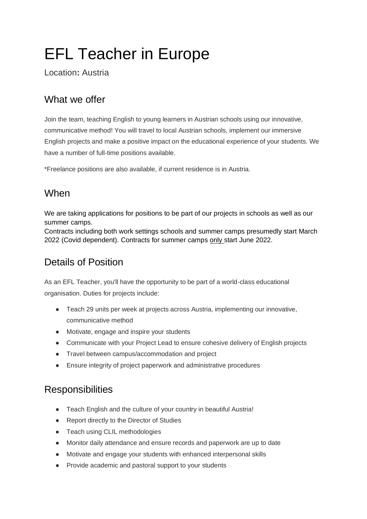# EFL Teacher in Europe

Location**:** Austria

#### What we offer

Join the team, teaching English to young learners in Austrian schools using our innovative, communicative method! You will travel to local Austrian schools, implement our immersive English projects and make a positive impact on the educational experience of your students. We have a number of full-time positions available.

\*Freelance positions are also available, if current residence is in Austria.

#### When

We are taking applications for positions to be part of our projects in schools as well as our summer camps.

Contracts including both work settings schools and summer camps presumedly start March 2022 (Covid dependent). Contracts for summer camps only start June 2022.

## Details of Position

As an EFL Teacher, you'll have the opportunity to be part of a world-class educational organisation. Duties for projects include:

- Teach 29 units per week at projects across Austria, implementing our innovative, communicative method
- Motivate, engage and inspire your students
- Communicate with your Project Lead to ensure cohesive delivery of English projects
- Travel between campus/accommodation and project
- Ensure integrity of project paperwork and administrative procedures

#### **Responsibilities**

- Teach English and the culture of your country in beautiful Austria!
- Report directly to the Director of Studies
- Teach using CLIL methodologies
- Monitor daily attendance and ensure records and paperwork are up to date
- Motivate and engage your students with enhanced interpersonal skills
- Provide academic and pastoral support to your students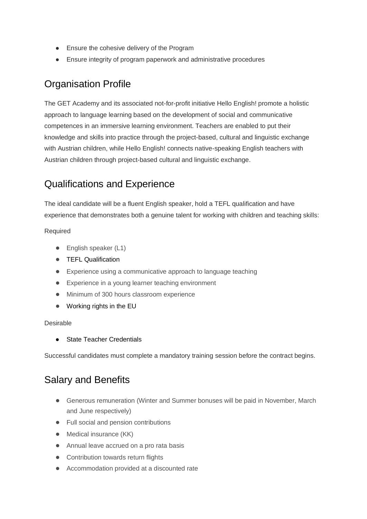- Ensure the cohesive delivery of the Program
- Ensure integrity of program paperwork and administrative procedures

#### Organisation Profile

The GET Academy and its associated not-for-profit initiative Hello English! promote a holistic approach to language learning based on the development of social and communicative competences in an immersive learning environment. Teachers are enabled to put their knowledge and skills into practice through the project-based, cultural and linguistic exchange with Austrian children, while Hello English! connects native-speaking English teachers with Austrian children through project-based cultural and linguistic exchange.

#### Qualifications and Experience

The ideal candidate will be a fluent English speaker, hold a TEFL qualification and have experience that demonstrates both a genuine talent for working with children and teaching skills:

Required

- English speaker (L1)
- TEFL Qualification
- Experience using a communicative approach to language teaching
- Experience in a young learner teaching environment
- Minimum of 300 hours classroom experience
- Working rights in the EU

#### Desirable

● State Teacher Credentials

Successful candidates must complete a mandatory training session before the contract begins.

### Salary and Benefits

- Generous remuneration (Winter and Summer bonuses will be paid in November, March and June respectively)
- Full social and pension contributions
- Medical insurance (KK)
- Annual leave accrued on a pro rata basis
- Contribution towards return flights
- Accommodation provided at a discounted rate